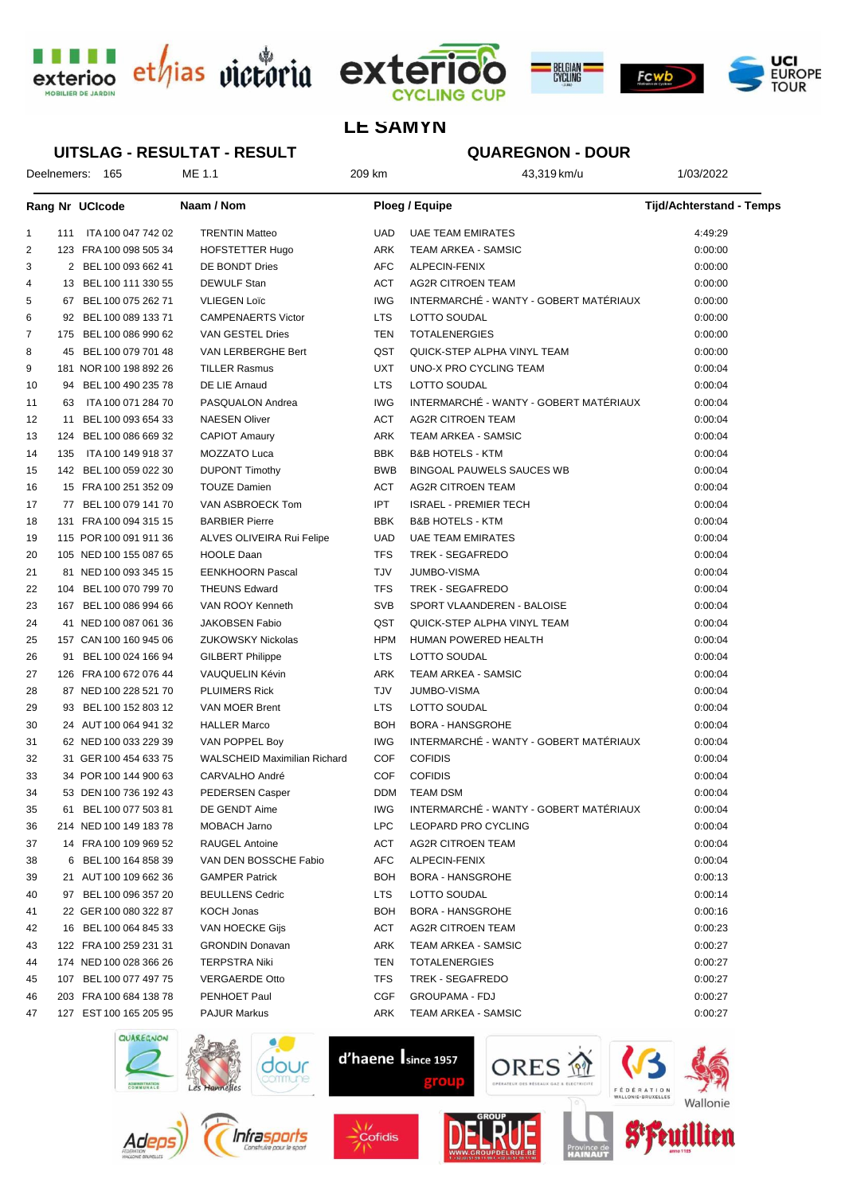





# **LE SAMYN**

#### **UITSLAG - RESULTAT - RESULT**

# **QUAREGNON - DOUR**

Deelnemers: 165 ME 1.1 209 km 43,319 km/u 1/03/2022

|                |     | Rang Nr UCIcode        | Naam / Nom                          |            | <b>Ploeg / Equipe</b>                  | <b>Tijd/Achterstand - Temps</b> |
|----------------|-----|------------------------|-------------------------------------|------------|----------------------------------------|---------------------------------|
| 1              | 111 | ITA 100 047 742 02     | <b>TRENTIN Matteo</b>               | UAD        | <b>UAE TEAM EMIRATES</b>               | 4:49:29                         |
| $\overline{2}$ |     | 123 FRA 100 098 505 34 | <b>HOFSTETTER Hugo</b>              | ARK        | <b>TEAM ARKEA - SAMSIC</b>             | 0:00:00                         |
| 3              |     | 2 BEL 100 093 662 41   | DE BONDT Dries                      | AFC        | ALPECIN-FENIX                          | 0:00:00                         |
| 4              |     | 13 BEL 100 111 330 55  | <b>DEWULF Stan</b>                  | ACT        | <b>AG2R CITROEN TEAM</b>               | 0:00:00                         |
| 5              |     | 67 BEL 100 075 262 71  | <b>VLIEGEN Loïc</b>                 | <b>IWG</b> | INTERMARCHÉ - WANTY - GOBERT MATÉRIAUX | 0:00:00                         |
| 6              |     | 92 BEL 100 089 133 71  | <b>CAMPENAERTS Victor</b>           | <b>LTS</b> | LOTTO SOUDAL                           | 0:00:00                         |
| 7              |     | 175 BEL 100 086 990 62 | VAN GESTEL Dries                    | TEN        | <b>TOTALENERGIES</b>                   | 0:00:00                         |
| 8              |     | 45 BEL 100 079 701 48  | VAN LERBERGHE Bert                  | QST        | QUICK-STEP ALPHA VINYL TEAM            | 0:00:00                         |
| 9              |     | 181 NOR 100 198 892 26 | <b>TILLER Rasmus</b>                | UXT        | UNO-X PRO CYCLING TEAM                 | 0:00:04                         |
| 10             | 94  | BEL 100 490 235 78     | DE LIE Arnaud                       | LTS        | LOTTO SOUDAL                           | 0:00:04                         |
| 11             | 63  | ITA 100 071 284 70     | PASQUALON Andrea                    | <b>IWG</b> | INTERMARCHÉ - WANTY - GOBERT MATÉRIAUX | 0:00:04                         |
| 12             | 11  | BEL 100 093 654 33     | <b>NAESEN Oliver</b>                | ACT        | <b>AG2R CITROEN TEAM</b>               | 0:00:04                         |
| 13             | 124 | BEL 100 086 669 32     | <b>CAPIOT Amaury</b>                | ARK        | <b>TEAM ARKEA - SAMSIC</b>             | 0:00:04                         |
| 14             | 135 | ITA 100 149 918 37     | MOZZATO Luca                        | <b>BBK</b> | <b>B&amp;B HOTELS - KTM</b>            | 0:00:04                         |
| 15             |     | 142 BEL 100 059 022 30 | <b>DUPONT Timothy</b>               | <b>BWB</b> | <b>BINGOAL PAUWELS SAUCES WB</b>       | 0:00:04                         |
| 16             |     | 15 FRA 100 251 352 09  | <b>TOUZE Damien</b>                 | ACT        | <b>AG2R CITROEN TEAM</b>               | 0:00:04                         |
| 17             |     | 77 BEL 100 079 141 70  | VAN ASBROECK Tom                    | <b>IPT</b> | <b>ISRAEL - PREMIER TECH</b>           | 0:00:04                         |
| 18             |     | 131 FRA 100 094 315 15 | <b>BARBIER Pierre</b>               | <b>BBK</b> | <b>B&amp;B HOTELS - KTM</b>            | 0:00:04                         |
| 19             |     | 115 POR 100 091 911 36 | ALVES OLIVEIRA Rui Felipe           | UAD        | <b>UAE TEAM EMIRATES</b>               | 0:00:04                         |
| 20             |     | 105 NED 100 155 087 65 | <b>HOOLE Daan</b>                   | <b>TFS</b> | <b>TREK - SEGAFREDO</b>                | 0:00:04                         |
| 21             |     | 81 NED 100 093 345 15  | <b>EENKHOORN Pascal</b>             | TJV        | <b>JUMBO-VISMA</b>                     | 0:00:04                         |
| 22             | 104 | BEL 100 070 799 70     | <b>THEUNS Edward</b>                | <b>TFS</b> | <b>TREK - SEGAFREDO</b>                | 0:00:04                         |
| 23             | 167 | BEL 100 086 994 66     | VAN ROOY Kenneth                    | <b>SVB</b> | SPORT VLAANDEREN - BALOISE             | 0:00:04                         |
| 24             |     | 41 NED 100 087 061 36  | <b>JAKOBSEN Fabio</b>               | QST        | QUICK-STEP ALPHA VINYL TEAM            | 0:00:04                         |
| 25             |     | 157 CAN 100 160 945 06 | ZUKOWSKY Nickolas                   | <b>HPM</b> | HUMAN POWERED HEALTH                   | 0:00:04                         |
| 26             | 91  | BEL 100 024 166 94     | <b>GILBERT Philippe</b>             | LTS        | LOTTO SOUDAL                           | 0:00:04                         |
| 27             |     | 126 FRA 100 672 076 44 | VAUQUELIN Kévin                     | ARK        | <b>TEAM ARKEA - SAMSIC</b>             | 0:00:04                         |
| 28             |     | 87 NED 100 228 521 70  | <b>PLUIMERS Rick</b>                | <b>TJV</b> | <b>JUMBO-VISMA</b>                     | 0:00:04                         |
| 29             |     | 93 BEL 100 152 803 12  | <b>VAN MOER Brent</b>               | <b>LTS</b> | LOTTO SOUDAL                           | 0:00:04                         |
| 30             |     | 24 AUT 100 064 941 32  | <b>HALLER Marco</b>                 | <b>BOH</b> | <b>BORA - HANSGROHE</b>                | 0:00:04                         |
| 31             |     | 62 NED 100 033 229 39  | VAN POPPEL Boy                      | <b>IWG</b> | INTERMARCHÉ - WANTY - GOBERT MATÉRIAUX | 0:00:04                         |
| 32             |     | 31 GER 100 454 633 75  | <b>WALSCHEID Maximilian Richard</b> | <b>COF</b> | <b>COFIDIS</b>                         | 0:00:04                         |
| 33             |     | 34 POR 100 144 900 63  | CARVALHO André                      | <b>COF</b> | <b>COFIDIS</b>                         | 0:00:04                         |
| 34             |     | 53 DEN 100 736 192 43  | PEDERSEN Casper                     | <b>DDM</b> | <b>TEAM DSM</b>                        | 0:00:04                         |
| 35             |     | 61 BEL 100 077 503 81  | DE GENDT Aime                       | <b>IWG</b> | INTERMARCHÉ - WANTY - GOBERT MATÉRIAUX | 0:00:04                         |
| 36             |     | 214 NED 100 149 183 78 | MOBACH Jarno                        | LPC        | LEOPARD PRO CYCLING                    | 0:00:04                         |
| 37             |     | 14 FRA 100 109 969 52  | RAUGEL Antoine                      | ACT        | <b>AG2R CITROEN TEAM</b>               | 0:00:04                         |
| 38             | 6   | BEL 100 164 858 39     | VAN DEN BOSSCHE Fabio               | AFC        | ALPECIN-FENIX                          | 0:00:04                         |
| 39             |     | 21 AUT 100 109 662 36  | <b>GAMPER Patrick</b>               | <b>BOH</b> | <b>BORA - HANSGROHE</b>                | 0:00:13                         |
| 40             |     | 97 BEL 100 096 357 20  | <b>BEULLENS Cedric</b>              | LTS.       | LOTTO SOUDAL                           | 0:00:14                         |
| 41             |     | 22 GER 100 080 322 87  | KOCH Jonas                          | <b>BOH</b> | <b>BORA - HANSGROHE</b>                | 0:00:16                         |
| 42             |     | 16 BEL 100 064 845 33  | VAN HOECKE Gijs                     | ACT        | AG2R CITROEN TEAM                      | 0:00:23                         |
| 43             |     | 122 FRA 100 259 231 31 | <b>GRONDIN Donavan</b>              | ARK        | TEAM ARKEA - SAMSIC                    | 0:00:27                         |
| 44             |     | 174 NED 100 028 366 26 | <b>TERPSTRA Niki</b>                | TEN        | <b>TOTALENERGIES</b>                   | 0:00:27                         |
| 45             | 107 | BEL 100 077 497 75     | <b>VERGAERDE Otto</b>               | TFS        | <b>TREK - SEGAFREDO</b>                | 0:00:27                         |
| 46             |     | 203 FRA 100 684 138 78 | PENHOET Paul                        | CGF        | <b>GROUPAMA - FDJ</b>                  | 0:00:27                         |
| 47             |     | 127 EST 100 165 205 95 | <b>PAJUR Markus</b>                 | ARK        | TEAM ARKEA - SAMSIC                    | 0:00:27                         |





dour







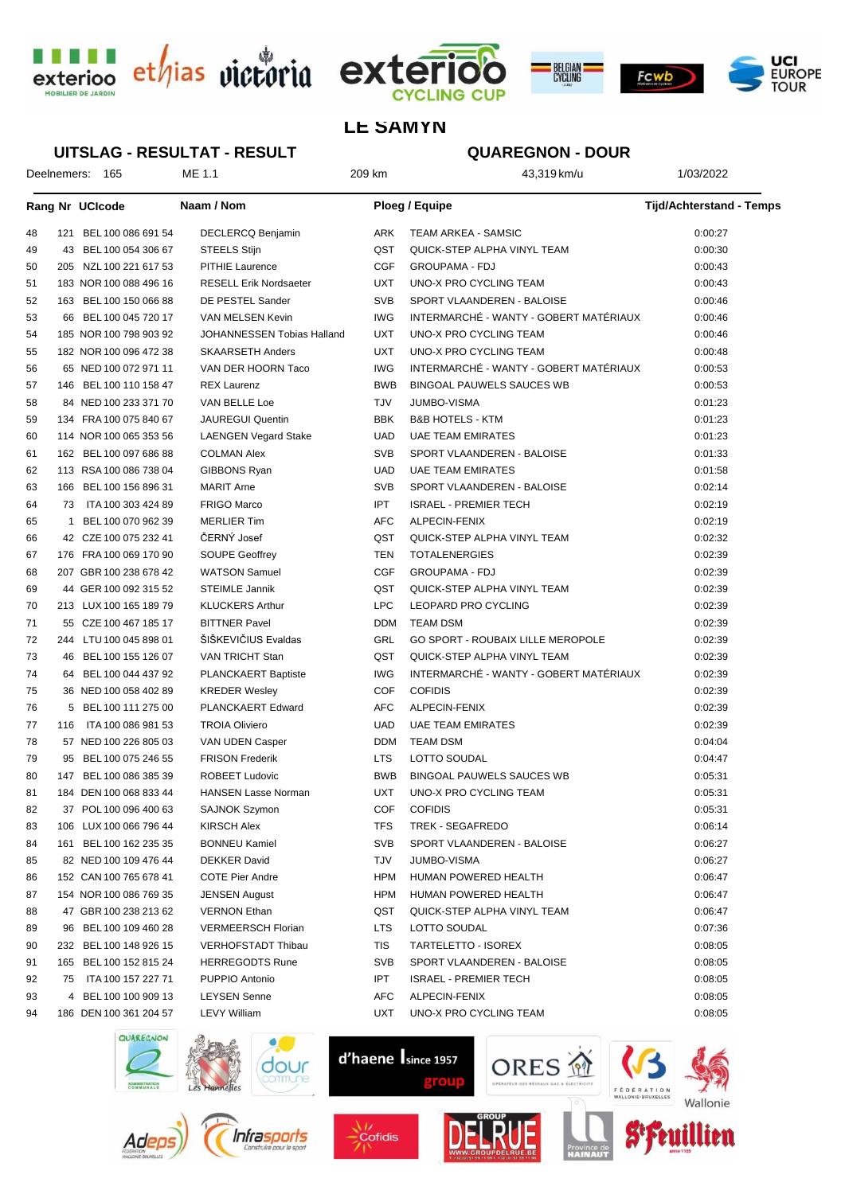





### **LE SAMYN**

#### **UITSLAG - RESULTAT - RESULT**

# **QUAREGNON - DOUR**

Deelnemers: 165 ME 1.1 209 km 43,319 km/u 43,319 km/u 1/03/2022

|    |     | <b>Rang Nr UCIcode</b> | Naam / Nom                    |            | <b>Ploeg / Equipe</b>                    | <b>Tijd/Achterstand - Temps</b> |
|----|-----|------------------------|-------------------------------|------------|------------------------------------------|---------------------------------|
| 48 |     | 121 BEL 100 086 691 54 | DECLERCQ Benjamin             | ARK        | <b>TEAM ARKEA - SAMSIC</b>               | 0:00:27                         |
| 49 | 43  | BEL 100 054 306 67     | <b>STEELS Stijn</b>           | QST        | QUICK-STEP ALPHA VINYL TEAM              | 0:00:30                         |
| 50 | 205 | NZL 100 221 617 53     | <b>PITHIE Laurence</b>        | <b>CGF</b> | <b>GROUPAMA - FDJ</b>                    | 0:00:43                         |
| 51 |     | 183 NOR 100 088 496 16 | <b>RESELL Erik Nordsaeter</b> | UXT        | UNO-X PRO CYCLING TEAM                   | 0:00:43                         |
| 52 |     | 163 BEL 100 150 066 88 | DE PESTEL Sander              | <b>SVB</b> | SPORT VLAANDEREN - BALOISE               | 0:00:46                         |
| 53 | 66  | BEL 100 045 720 17     | VAN MELSEN Kevin              | <b>IWG</b> | INTERMARCHÉ - WANTY - GOBERT MATÉRIAUX   | 0:00:46                         |
| 54 |     | 185 NOR 100 798 903 92 | JOHANNESSEN Tobias Halland    | UXT        | UNO-X PRO CYCLING TEAM                   | 0:00:46                         |
| 55 |     | 182 NOR 100 096 472 38 | <b>SKAARSETH Anders</b>       | UXT        | UNO-X PRO CYCLING TEAM                   | 0:00:48                         |
| 56 |     | 65 NED 100 072 971 11  | VAN DER HOORN Taco            | <b>IWG</b> | INTERMARCHÉ - WANTY - GOBERT MATÉRIAUX   | 0:00:53                         |
| 57 |     | 146 BEL 100 110 158 47 | <b>REX Laurenz</b>            | <b>BWB</b> | <b>BINGOAL PAUWELS SAUCES WB</b>         | 0:00:53                         |
| 58 |     | 84 NED 100 233 371 70  | VAN BELLE Loe                 | TJV        | <b>JUMBO-VISMA</b>                       | 0:01:23                         |
| 59 |     | 134 FRA 100 075 840 67 | <b>JAUREGUI Quentin</b>       | <b>BBK</b> | <b>B&amp;B HOTELS - KTM</b>              | 0:01:23                         |
| 60 |     | 114 NOR 100 065 353 56 | <b>LAENGEN Vegard Stake</b>   | UAD        | <b>UAE TEAM EMIRATES</b>                 | 0:01:23                         |
| 61 |     | 162 BEL 100 097 686 88 | <b>COLMAN Alex</b>            | <b>SVB</b> | SPORT VLAANDEREN - BALOISE               | 0:01:33                         |
| 62 |     | 113 RSA 100 086 738 04 | GIBBONS Ryan                  | UAD        | <b>UAE TEAM EMIRATES</b>                 | 0:01:58                         |
| 63 |     | 166 BEL 100 156 896 31 | <b>MARIT Arne</b>             | <b>SVB</b> | SPORT VLAANDEREN - BALOISE               | 0:02:14                         |
| 64 | 73. | ITA 100 303 424 89     | <b>FRIGO Marco</b>            | <b>IPT</b> | <b>ISRAEL - PREMIER TECH</b>             | 0:02:19                         |
| 65 |     | 1 BEL 100 070 962 39   | <b>MERLIER Tim</b>            | AFC        | ALPECIN-FENIX                            | 0:02:19                         |
| 66 |     | 42 CZE 100 075 232 41  | ČERNÝ Josef                   | QST        | QUICK-STEP ALPHA VINYL TEAM              | 0:02:32                         |
| 67 |     | 176 FRA 100 069 170 90 | <b>SOUPE Geoffrey</b>         | TEN        | <b>TOTALENERGIES</b>                     | 0:02:39                         |
| 68 |     | 207 GBR 100 238 678 42 | <b>WATSON Samuel</b>          | <b>CGF</b> | <b>GROUPAMA - FDJ</b>                    | 0:02:39                         |
| 69 |     | 44 GER 100 092 315 52  | <b>STEIMLE Jannik</b>         | QST        | QUICK-STEP ALPHA VINYL TEAM              | 0:02:39                         |
| 70 |     | 213 LUX 100 165 189 79 | <b>KLUCKERS Arthur</b>        | <b>LPC</b> | LEOPARD PRO CYCLING                      | 0:02:39                         |
| 71 |     | 55 CZE 100 467 185 17  | <b>BITTNER Pavel</b>          | <b>DDM</b> | <b>TEAM DSM</b>                          | 0:02:39                         |
| 72 |     | 244 LTU 100 045 898 01 | ŠIŠKEVIČIUS Evaldas           | GRL        | <b>GO SPORT - ROUBAIX LILLE MEROPOLE</b> | 0:02:39                         |
| 73 | 46  | BEL 100 155 126 07     | VAN TRICHT Stan               | QST        | QUICK-STEP ALPHA VINYL TEAM              | 0:02:39                         |
| 74 |     | 64 BEL 100 044 437 92  | PLANCKAERT Baptiste           | <b>IWG</b> | INTERMARCHÉ - WANTY - GOBERT MATÉRIAUX   | 0:02:39                         |
| 75 |     | 36 NED 100 058 402 89  | <b>KREDER Wesley</b>          | COF        | <b>COFIDIS</b>                           | 0:02:39                         |
| 76 |     | 5 BEL 100 111 275 00   | <b>PLANCKAERT Edward</b>      | AFC        | ALPECIN-FENIX                            | 0:02:39                         |
| 77 | 116 | ITA 100 086 981 53     | <b>TROIA Oliviero</b>         | <b>UAD</b> | <b>UAE TEAM EMIRATES</b>                 | 0:02:39                         |
| 78 |     | 57 NED 100 226 805 03  | VAN UDEN Casper               | <b>DDM</b> | <b>TEAM DSM</b>                          | 0:04:04                         |
| 79 |     | 95 BEL 100 075 246 55  | <b>FRISON Frederik</b>        | LTS        | <b>LOTTO SOUDAL</b>                      | 0:04:47                         |
| 80 |     | 147 BEL 100 086 385 39 | <b>ROBEET Ludovic</b>         | <b>BWB</b> | BINGOAL PAUWELS SAUCES WB                | 0:05:31                         |
| 81 |     | 184 DEN 100 068 833 44 | <b>HANSEN Lasse Norman</b>    | UXT        | <b>UNO-X PRO CYCLING TEAM</b>            | 0:05:31                         |
| 82 |     | 37 POL 100 096 400 63  | <b>SAJNOK Szymon</b>          | COF        | <b>COFIDIS</b>                           | 0:05:31                         |
| 83 |     | 106 LUX 100 066 796 44 | <b>KIRSCH Alex</b>            | TFS        | TREK - SEGAFREDO                         | 0:06:14                         |
| 84 |     | 161 BEL 100 162 235 35 | <b>BONNEU Kamiel</b>          | SVB        | SPORT VLAANDEREN - BALOISE               | 0:06:27                         |
| 85 |     | 82 NED 100 109 476 44  | <b>DEKKER David</b>           | TJV        | <b>JUMBO-VISMA</b>                       | 0:06:27                         |
| 86 |     | 152 CAN 100 765 678 41 | <b>COTE Pier Andre</b>        | <b>HPM</b> | HUMAN POWERED HEALTH                     | 0:06:47                         |
| 87 |     | 154 NOR 100 086 769 35 | <b>JENSEN August</b>          | HPM        | HUMAN POWERED HEALTH                     | 0:06:47                         |
| 88 |     | 47 GBR 100 238 213 62  | <b>VERNON Ethan</b>           | QST        | QUICK-STEP ALPHA VINYL TEAM              | 0:06:47                         |
| 89 |     | 96 BEL 100 109 460 28  | <b>VERMEERSCH Florian</b>     | LTS        | <b>LOTTO SOUDAL</b>                      | 0:07:36                         |
| 90 |     | 232 BEL 100 148 926 15 | <b>VERHOFSTADT Thibau</b>     | TIS        | TARTELETTO - ISOREX                      | 0:08:05                         |
| 91 |     | 165 BEL 100 152 815 24 | <b>HERREGODTS Rune</b>        | <b>SVB</b> | SPORT VLAANDEREN - BALOISE               | 0:08:05                         |
| 92 | 75  | ITA 100 157 227 71     | PUPPIO Antonio                | <b>IPT</b> | <b>ISRAEL - PREMIER TECH</b>             | 0:08:05                         |
| 93 |     | 4 BEL 100 100 909 13   | <b>LEYSEN Senne</b>           | AFC        | ALPECIN-FENIX                            | 0:08:05                         |
| 94 |     | 186 DEN 100 361 204 57 | <b>LEVY William</b>           | UXT        | UNO-X PRO CYCLING TEAM                   | 0:08:05                         |



Ade





d'haene Isince 1957





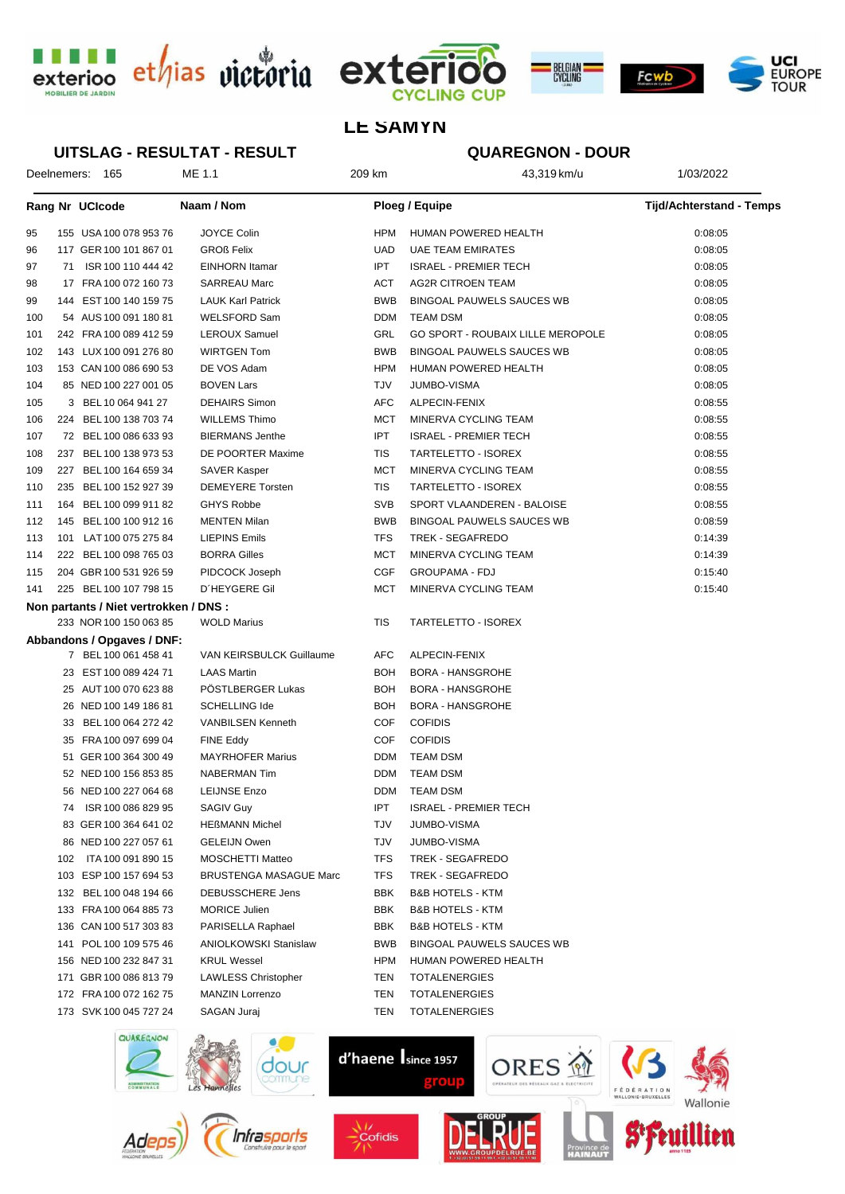





## **LE SAMYN**

#### UITSLAG - RESULTAT - RESULT

# **QUAREGNON - DOUR**

| Deelnemers: 165 |     |                                        | ME 1.1                        | 209 km         | 43,319 km/u                              | 1/03/2022                       |  |
|-----------------|-----|----------------------------------------|-------------------------------|----------------|------------------------------------------|---------------------------------|--|
|                 |     | Rang Nr UCIcode                        | Naam / Nom                    | Ploeg / Equipe |                                          | <b>Tijd/Achterstand - Temps</b> |  |
| 95              |     | 155 USA 100 078 953 76                 | JOYCE Colin                   | <b>HPM</b>     | HUMAN POWERED HEALTH                     | 0:08:05                         |  |
| 96              |     | 117 GER 100 101 867 01                 | <b>GROß Felix</b>             | UAD            | <b>UAE TEAM EMIRATES</b>                 | 0:08:05                         |  |
| 97              |     | 71 ISR 100 110 444 42                  | <b>EINHORN</b> Itamar         | <b>IPT</b>     | <b>ISRAEL - PREMIER TECH</b>             | 0:08:05                         |  |
| 98              |     | 17 FRA 100 072 160 73                  | <b>SARREAU Marc</b>           | ACT            | <b>AG2R CITROEN TEAM</b>                 | 0:08:05                         |  |
| 99              |     | 144 EST 100 140 159 75                 | <b>LAUK Karl Patrick</b>      | <b>BWB</b>     | BINGOAL PAUWELS SAUCES WB                | 0:08:05                         |  |
| 100             |     | 54 AUS 100 091 180 81                  | <b>WELSFORD Sam</b>           | <b>DDM</b>     | <b>TEAM DSM</b>                          | 0:08:05                         |  |
| 101             |     | 242 FRA 100 089 412 59                 | LEROUX Samuel                 | GRL            | <b>GO SPORT - ROUBAIX LILLE MEROPOLE</b> | 0:08:05                         |  |
| 102             |     | 143 LUX 100 091 276 80                 | <b>WIRTGEN Tom</b>            | <b>BWB</b>     | <b>BINGOAL PAUWELS SAUCES WB</b>         | 0:08:05                         |  |
| 103             |     | 153 CAN 100 086 690 53                 | DE VOS Adam                   | <b>HPM</b>     | HUMAN POWERED HEALTH                     | 0:08:05                         |  |
| 104             |     | 85 NED 100 227 001 05                  | <b>BOVEN Lars</b>             | TJV            | <b>JUMBO-VISMA</b>                       | 0:08:05                         |  |
| 105             |     | 3 BEL 10 064 941 27                    | <b>DEHAIRS Simon</b>          | AFC            | ALPECIN-FENIX                            | 0:08:55                         |  |
| 106             |     | 224 BEL 100 138 703 74                 | <b>WILLEMS Thimo</b>          | MCT            | MINERVA CYCLING TEAM                     | 0:08:55                         |  |
| 107             |     | 72 BEL 100 086 633 93                  | <b>BIERMANS Jenthe</b>        | <b>IPT</b>     | <b>ISRAEL - PREMIER TECH</b>             | 0:08:55                         |  |
| 108             |     | 237 BEL 100 138 973 53                 | DE POORTER Maxime             | TIS            | TARTELETTO - ISOREX                      | 0:08:55                         |  |
| 109             |     | 227 BEL 100 164 659 34                 | SAVER Kasper                  | MCT            | MINERVA CYCLING TEAM                     | 0:08:55                         |  |
| 110             |     | 235 BEL 100 152 927 39                 | <b>DEMEYERE</b> Torsten       | TIS            | TARTELETTO - ISOREX                      | 0:08:55                         |  |
| 111             |     | 164 BEL 100 099 911 82                 | <b>GHYS Robbe</b>             | <b>SVB</b>     | SPORT VLAANDEREN - BALOISE               | 0:08:55                         |  |
| 112             |     | 145 BEL 100 100 912 16                 | <b>MENTEN Milan</b>           | <b>BWB</b>     | BINGOAL PAUWELS SAUCES WB                | 0:08:59                         |  |
| 113             |     | 101 LAT100 075 275 84                  | <b>LIEPINS Emils</b>          | TFS            | TREK - SEGAFREDO                         | 0:14:39                         |  |
| 114             |     | 222 BEL 100 098 765 03                 | <b>BORRA Gilles</b>           | MCT            | MINERVA CYCLING TEAM                     | 0:14:39                         |  |
| 115             |     | 204 GBR 100 531 926 59                 | PIDCOCK Joseph                | <b>CGF</b>     | <b>GROUPAMA - FDJ</b>                    | 0:15:40                         |  |
| 141             |     | 225 BEL 100 107 798 15                 | D'HEYGERE Gil                 | MCT            | MINERVA CYCLING TEAM                     | 0:15:40                         |  |
|                 |     | Non partants / Niet vertrokken / DNS : |                               |                |                                          |                                 |  |
|                 |     | 233 NOR 100 150 063 85                 | <b>WOLD Marius</b>            | TIS            | TARTELETTO - ISOREX                      |                                 |  |
|                 |     | Abbandons / Opgaves / DNF:             |                               |                |                                          |                                 |  |
|                 |     | 7 BEL 100 061 458 41                   | VAN KEIRSBULCK Guillaume      | AFC            | ALPECIN-FENIX                            |                                 |  |
|                 |     | 23 EST 100 089 424 71                  | <b>LAAS Martin</b>            | <b>BOH</b>     | <b>BORA - HANSGROHE</b>                  |                                 |  |
|                 |     | 25 AUT 100 070 623 88                  | PÖSTLBERGER Lukas             | BOH            | <b>BORA - HANSGROHE</b>                  |                                 |  |
|                 |     | 26 NED 100 149 186 81                  | <b>SCHELLING Ide</b>          | BOH            | <b>BORA - HANSGROHE</b>                  |                                 |  |
|                 |     | 33 BEL 100 064 272 42                  | <b>VANBILSEN Kenneth</b>      | COF            | <b>COFIDIS</b>                           |                                 |  |
|                 |     | 35 FRA 100 097 699 04                  | <b>FINE Eddy</b>              | COF            | <b>COFIDIS</b>                           |                                 |  |
|                 |     | 51 GER 100 364 300 49                  | <b>MAYRHOFER Marius</b>       | <b>DDM</b>     | TEAM DSM                                 |                                 |  |
|                 |     | 52 NED 100 156 853 85                  | <b>NABERMAN Tim</b>           | <b>DDM</b>     | <b>TEAM DSM</b>                          |                                 |  |
|                 |     | 56 NED 100 227 064 68                  | <b>LEIJNSE Enzo</b>           | <b>DDM</b>     | <b>TEAM DSM</b>                          |                                 |  |
|                 | 74  | ISR 100 086 829 95                     | <b>SAGIV Guy</b>              | IPT            | <b>ISRAEL - PREMIER TECH</b>             |                                 |  |
|                 |     | 83 GER 100 364 641 02                  | <b>HEßMANN Michel</b>         | TJV            | <b>JUMBO-VISMA</b>                       |                                 |  |
|                 |     | 86 NED 100 227 057 61                  | <b>GELEIJN Owen</b>           | TJV            | <b>JUMBO-VISMA</b>                       |                                 |  |
|                 | 102 | ITA 100 091 890 15                     | <b>MOSCHETTI Matteo</b>       | TFS            | <b>TREK - SEGAFREDO</b>                  |                                 |  |
|                 |     | 103 ESP 100 157 694 53                 | <b>BRUSTENGA MASAGUE Marc</b> | TFS            | <b>TREK - SEGAFREDO</b>                  |                                 |  |
|                 |     | 132 BEL 100 048 194 66                 | <b>DEBUSSCHERE Jens</b>       | BBK            | <b>B&amp;B HOTELS - KTM</b>              |                                 |  |
|                 |     | 133 FRA 100 064 885 73                 | <b>MORICE Julien</b>          | BBK            | <b>B&amp;B HOTELS - KTM</b>              |                                 |  |
|                 |     | 136 CAN 100 517 303 83                 | PARISELLA Raphael             | BBK            | <b>B&amp;B HOTELS - KTM</b>              |                                 |  |
|                 | 141 | POL 100 109 575 46                     | <b>ANIOLKOWSKI Stanislaw</b>  | <b>BWB</b>     | BINGOAL PAUWELS SAUCES WB                |                                 |  |
|                 |     | 156 NED 100 232 847 31                 | <b>KRUL Wessel</b>            | HPM            | HUMAN POWERED HEALTH                     |                                 |  |
|                 |     | 171 GBR 100 086 813 79                 | <b>LAWLESS Christopher</b>    | TEN            | <b>TOTALENERGIES</b>                     |                                 |  |
|                 |     | 172 FRA 100 072 162 75                 | <b>MANZIN Lorrenzo</b>        | TEN            | <b>TOTALENERGIES</b>                     |                                 |  |
|                 |     | 173 SVK 100 045 727 24                 | SAGAN Juraj                   | TEN            | <b>TOTALENERGIES</b>                     |                                 |  |



Ad



 $\frac{1}{2}$ Cofidis





llien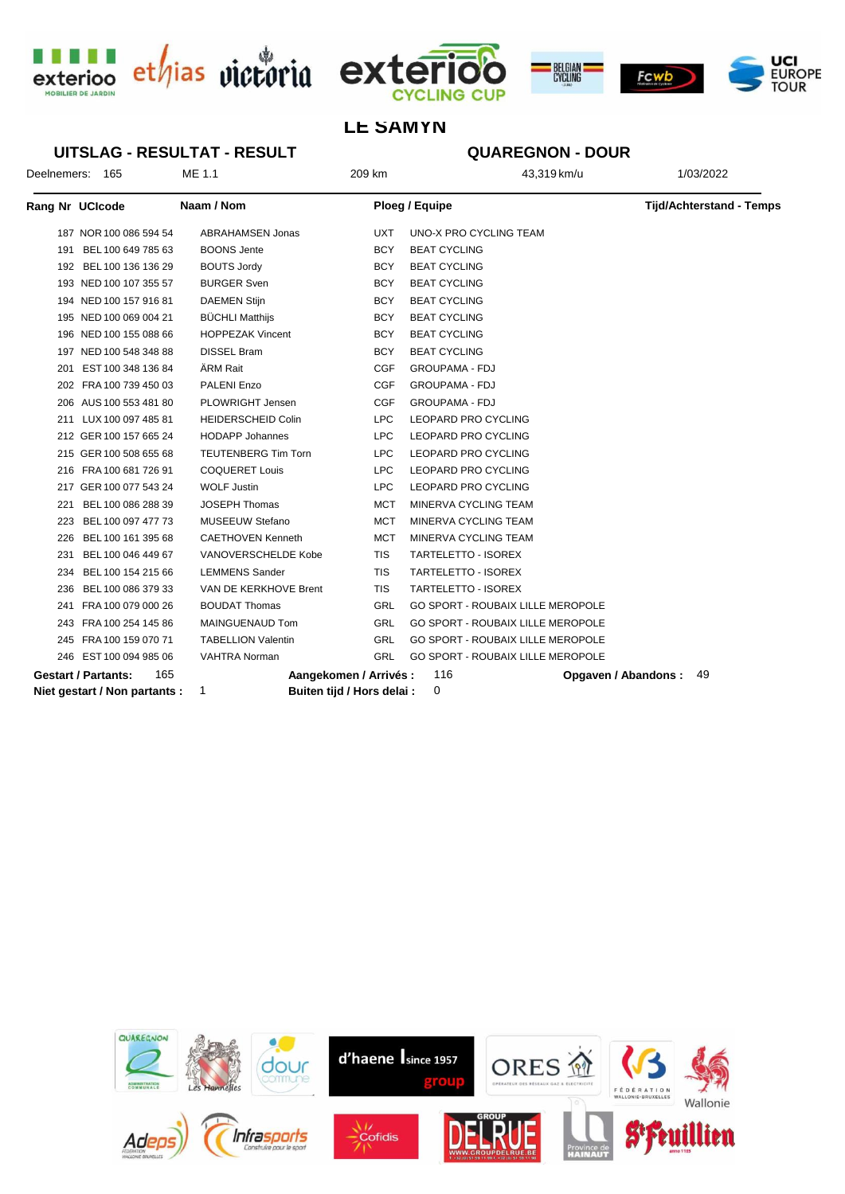





Opgaven / Abandons: 49

# **LE SAMYN**

**UITSLAG - RESULTAT - RESULT QUAREGNON - DOUR** Deelnemers: 165  $MF$  1 1 209 km 43.319 km/u 1/03/2022 Rang Nr UCIcode Naam / Nom Ploeg / Equipe **Tijd/Achterstand - Temps** 187 NOR 100 086 594 54 ABRAHAMSEN Jonas **IIXT LINO-X PRO CYCLING TEAM** 191 BEL 100 649 785 63 BOONS Jente **RCY** BEAT CYCLING 192 BEL 100 136 136 29 **BOUTS Jordy BEAT CYCLING BCY** 193 NED 100 107 355 57 **BURGER Sven BCY BEAT CYCLING** 194 NED 100 157 916 81 **DAEMEN Stiin** BEAT CYCLING **BCY** 195 NED 100 069 004 21 **BÜCHLI Matthijs BCY BEAT CYCLING** 196 NED 100 155 088 66 **HOPPEZAK Vincent BCY BEAT CYCLING** 197 NED 100 548 348 88 DISSEL Bram **BCY BEAT CYCLING** ÄRM Rait **GROUPAMA - FDJ** 201 EST 100 348 136 84 CGE 202 FRA 100 739 450 03 PALENI Enzo CGF **GROUPAMA - FDJ** PLOWRIGHT Jensen 206 AUS 100 553 481 80 CGF **GROUPAMA - FDJ** 211 11JX 100 097 485 81 **HEIDERSCHEID Colin** LEOPARD PRO CYCLING LPC 212 GER 100 157 665 24 **HODAPP Johannes** LPC LEOPARD PRO CYCLING 215 GER 100 508 655 68 **TEUTENBERG Tim Torn** LPC LEOPARD PRO CYCLING 216 FRA 100 681 726 91 **COQUERET Louis LPC** LEOPARD PRO CYCLING **WOLF Justin** 217 GER 100 077 543 24 **LPC LEOPARD PRO CYCLING** 221 BEL 100 086 288 39 JOSEPH Thomas  $MCT$ MINERVA CYCLING TEAM 223 BEL 100 097 477 73 MUSEEUW Stefano MINERVA CYCLING TEAM **MCT** 226 BEL 100 161 395 68 **CAETHOVEN Kenneth** MINERVA CYCLING TEAM **MCT** 231 BEL 100 046 449 67 VANOVERSCHELDE Kobe TARTELETTO - ISOREX **TIS** 234 BEL 100 154 215 66 **I FMMENS Sander TIS** TARTELETTO - ISOREX 236 BEL 100 086 379 33 VAN DE KERKHOVE Brent **TIS TARTELETTO - ISOREX** 241 FRA 100 079 000 26 **BOUDAT Thomas** GRL **GO SPORT - ROUBAIX LILLE MEROPOLE** 243 ERA 100 254 145 86 MAINGHENALID Tom GRI GO SPORT - ROUBAIX LILLE MEROPOLE 245 FRA 100 159 070 71 **TABELLION Valentin GRI** GO SPORT - ROUBAIX LILLE MEROPOLE 246 EST 100 094 985 06 **VAHTRA Norman** GRI **GO SPORT - ROUBAIX LILLE MEROPOLE** 

```
Gestart / Partants:
                       165
Niet gestart / Non partants :
```
 $\overline{1}$ 

Aangekomen / Arrivés :

Buiten tijd / Hors delai :

116

 $\Omega$